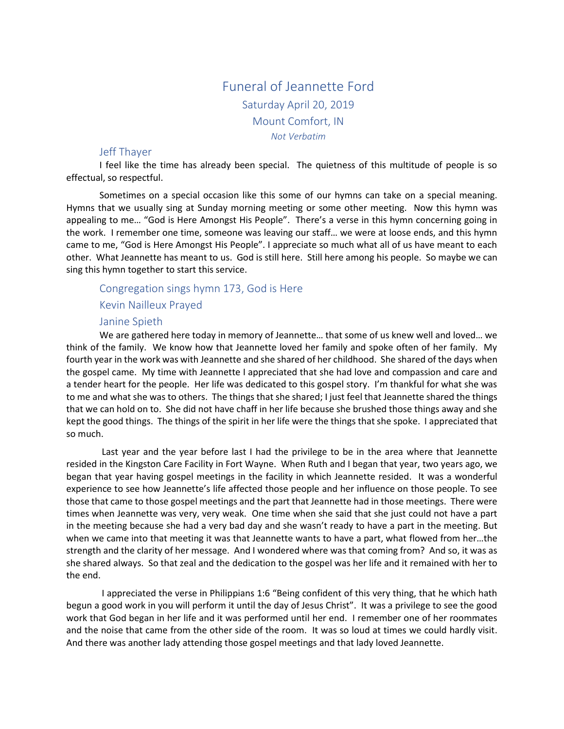# Funeral of Jeannette Ford Saturday April 20, 2019 Mount Comfort, IN *Not Verbatim*

### Jeff Thayer

I feel like the time has already been special. The quietness of this multitude of people is so effectual, so respectful.

Sometimes on a special occasion like this some of our hymns can take on a special meaning. Hymns that we usually sing at Sunday morning meeting or some other meeting. Now this hymn was appealing to me… "God is Here Amongst His People". There's a verse in this hymn concerning going in the work. I remember one time, someone was leaving our staff… we were at loose ends, and this hymn came to me, "God is Here Amongst His People". I appreciate so much what all of us have meant to each other. What Jeannette has meant to us. God is still here. Still here among his people. So maybe we can sing this hymn together to start this service.

### Congregation sings hymn 173, God is Here

Kevin Nailleux Prayed

#### Janine Spieth

We are gathered here today in memory of Jeannette… that some of us knew well and loved… we think of the family. We know how that Jeannette loved her family and spoke often of her family. My fourth year in the work was with Jeannette and she shared of her childhood. She shared of the days when the gospel came. My time with Jeannette I appreciated that she had love and compassion and care and a tender heart for the people. Her life was dedicated to this gospel story. I'm thankful for what she was to me and what she was to others. The things that she shared; I just feel that Jeannette shared the things that we can hold on to. She did not have chaff in her life because she brushed those things away and she kept the good things. The things of the spirit in her life were the things that she spoke. I appreciated that so much.

Last year and the year before last I had the privilege to be in the area where that Jeannette resided in the Kingston Care Facility in Fort Wayne. When Ruth and I began that year, two years ago, we began that year having gospel meetings in the facility in which Jeannette resided. It was a wonderful experience to see how Jeannette's life affected those people and her influence on those people. To see those that came to those gospel meetings and the part that Jeannette had in those meetings. There were times when Jeannette was very, very weak. One time when she said that she just could not have a part in the meeting because she had a very bad day and she wasn't ready to have a part in the meeting. But when we came into that meeting it was that Jeannette wants to have a part, what flowed from her…the strength and the clarity of her message. And I wondered where was that coming from? And so, it was as she shared always. So that zeal and the dedication to the gospel was her life and it remained with her to the end.

I appreciated the verse in Philippians 1:6 "Being confident of this very thing, that he which hath begun a good work in you will perform it until the day of Jesus Christ". It was a privilege to see the good work that God began in her life and it was performed until her end. I remember one of her roommates and the noise that came from the other side of the room. It was so loud at times we could hardly visit. And there was another lady attending those gospel meetings and that lady loved Jeannette.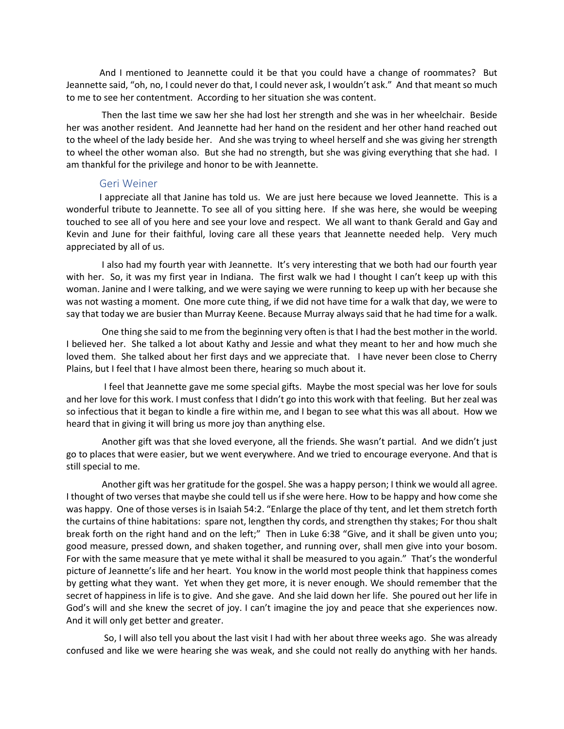And I mentioned to Jeannette could it be that you could have a change of roommates? But Jeannette said, "oh, no, I could never do that, I could never ask, I wouldn't ask." And that meant so much to me to see her contentment. According to her situation she was content.

Then the last time we saw her she had lost her strength and she was in her wheelchair. Beside her was another resident. And Jeannette had her hand on the resident and her other hand reached out to the wheel of the lady beside her. And she was trying to wheel herself and she was giving her strength to wheel the other woman also. But she had no strength, but she was giving everything that she had. I am thankful for the privilege and honor to be with Jeannette.

### Geri Weiner

I appreciate all that Janine has told us. We are just here because we loved Jeannette. This is a wonderful tribute to Jeannette. To see all of you sitting here. If she was here, she would be weeping touched to see all of you here and see your love and respect. We all want to thank Gerald and Gay and Kevin and June for their faithful, loving care all these years that Jeannette needed help. Very much appreciated by all of us.

I also had my fourth year with Jeannette. It's very interesting that we both had our fourth year with her. So, it was my first year in Indiana. The first walk we had I thought I can't keep up with this woman. Janine and I were talking, and we were saying we were running to keep up with her because she was not wasting a moment. One more cute thing, if we did not have time for a walk that day, we were to say that today we are busier than Murray Keene. Because Murray always said that he had time for a walk.

One thing she said to me from the beginning very often is that I had the best mother in the world. I believed her. She talked a lot about Kathy and Jessie and what they meant to her and how much she loved them. She talked about her first days and we appreciate that. I have never been close to Cherry Plains, but I feel that I have almost been there, hearing so much about it.

 I feel that Jeannette gave me some special gifts. Maybe the most special was her love for souls and her love for this work. I must confess that I didn't go into this work with that feeling. But her zeal was so infectious that it began to kindle a fire within me, and I began to see what this was all about. How we heard that in giving it will bring us more joy than anything else.

Another gift was that she loved everyone, all the friends. She wasn't partial. And we didn't just go to places that were easier, but we went everywhere. And we tried to encourage everyone. And that is still special to me.

Another gift was her gratitude for the gospel. She was a happy person; I think we would all agree. I thought of two verses that maybe she could tell us if she were here. How to be happy and how come she was happy. One of those verses is in Isaiah 54:2. "Enlarge the place of thy tent, and let them stretch forth the curtains of thine habitations: spare not, lengthen thy cords, and strengthen thy stakes; For thou shalt break forth on the right hand and on the left;" Then in Luke 6:38 "Give, and it shall be given unto you; good measure, pressed down, and shaken together, and running over, shall men give into your bosom. For with the same measure that ye mete withal it shall be measured to you again." That's the wonderful picture of Jeannette's life and her heart. You know in the world most people think that happiness comes by getting what they want. Yet when they get more, it is never enough. We should remember that the secret of happiness in life is to give. And she gave. And she laid down her life. She poured out her life in God's will and she knew the secret of joy. I can't imagine the joy and peace that she experiences now. And it will only get better and greater.

 So, I will also tell you about the last visit I had with her about three weeks ago. She was already confused and like we were hearing she was weak, and she could not really do anything with her hands.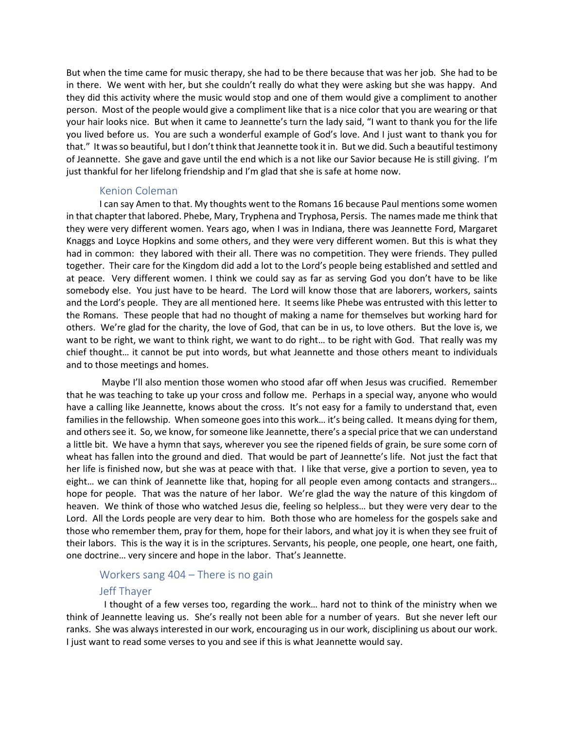But when the time came for music therapy, she had to be there because that was her job. She had to be in there. We went with her, but she couldn't really do what they were asking but she was happy. And they did this activity where the music would stop and one of them would give a compliment to another person. Most of the people would give a compliment like that is a nice color that you are wearing or that your hair looks nice. But when it came to Jeannette's turn the lady said, "I want to thank you for the life you lived before us. You are such a wonderful example of God's love. And I just want to thank you for that." It was so beautiful, but I don't think that Jeannette took it in. But we did. Such a beautiful testimony of Jeannette. She gave and gave until the end which is a not like our Savior because He is still giving. I'm just thankful for her lifelong friendship and I'm glad that she is safe at home now.

### Kenion Coleman

I can say Amen to that. My thoughts went to the Romans 16 because Paul mentions some women in that chapter that labored. Phebe, Mary, Tryphena and Tryphosa, Persis. The names made me think that they were very different women. Years ago, when I was in Indiana, there was Jeannette Ford, Margaret Knaggs and Loyce Hopkins and some others, and they were very different women. But this is what they had in common: they labored with their all. There was no competition. They were friends. They pulled together. Their care for the Kingdom did add a lot to the Lord's people being established and settled and at peace. Very different women. I think we could say as far as serving God you don't have to be like somebody else. You just have to be heard. The Lord will know those that are laborers, workers, saints and the Lord's people. They are all mentioned here. It seems like Phebe was entrusted with this letter to the Romans. These people that had no thought of making a name for themselves but working hard for others. We're glad for the charity, the love of God, that can be in us, to love others. But the love is, we want to be right, we want to think right, we want to do right… to be right with God. That really was my chief thought… it cannot be put into words, but what Jeannette and those others meant to individuals and to those meetings and homes.

Maybe I'll also mention those women who stood afar off when Jesus was crucified. Remember that he was teaching to take up your cross and follow me. Perhaps in a special way, anyone who would have a calling like Jeannette, knows about the cross. It's not easy for a family to understand that, even families in the fellowship. When someone goes into this work… it's being called. It means dying for them, and others see it. So, we know, for someone like Jeannette, there's a special price that we can understand a little bit. We have a hymn that says, wherever you see the ripened fields of grain, be sure some corn of wheat has fallen into the ground and died. That would be part of Jeannette's life. Not just the fact that her life is finished now, but she was at peace with that. I like that verse, give a portion to seven, yea to eight… we can think of Jeannette like that, hoping for all people even among contacts and strangers… hope for people. That was the nature of her labor. We're glad the way the nature of this kingdom of heaven. We think of those who watched Jesus die, feeling so helpless… but they were very dear to the Lord. All the Lords people are very dear to him. Both those who are homeless for the gospels sake and those who remember them, pray for them, hope for their labors, and what joy it is when they see fruit of their labors. This is the way it is in the scriptures. Servants, his people, one people, one heart, one faith, one doctrine… very sincere and hope in the labor. That's Jeannette.

## Workers sang 404 – There is no gain

## Jeff Thayer

 I thought of a few verses too, regarding the work… hard not to think of the ministry when we think of Jeannette leaving us. She's really not been able for a number of years. But she never left our ranks. She was always interested in our work, encouraging us in our work, disciplining us about our work. I just want to read some verses to you and see if this is what Jeannette would say.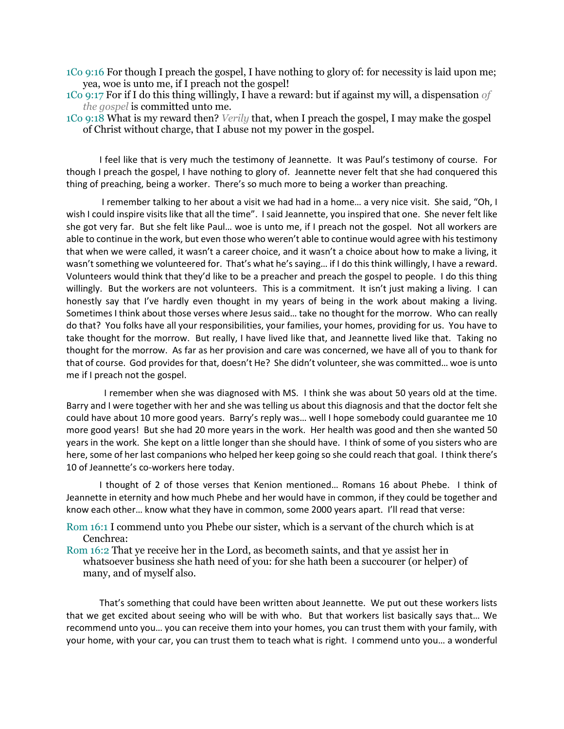1Co 9:16 For though I preach the gospel, I have nothing to glory of: for necessity is laid upon me; yea, woe is unto me, if I preach not the gospel!

1Co 9:17 For if I do this thing willingly, I have a reward: but if against my will, a dispensation *of the gospel* is committed unto me.

1Co 9:18 What is my reward then? *Verily* that, when I preach the gospel, I may make the gospel of Christ without charge, that I abuse not my power in the gospel.

I feel like that is very much the testimony of Jeannette. It was Paul's testimony of course. For though I preach the gospel, I have nothing to glory of. Jeannette never felt that she had conquered this thing of preaching, being a worker. There's so much more to being a worker than preaching.

I remember talking to her about a visit we had had in a home… a very nice visit. She said, "Oh, I wish I could inspire visits like that all the time". I said Jeannette, you inspired that one. She never felt like she got very far. But she felt like Paul… woe is unto me, if I preach not the gospel. Not all workers are able to continue in the work, but even those who weren't able to continue would agree with his testimony that when we were called, it wasn't a career choice, and it wasn't a choice about how to make a living, it wasn't something we volunteered for. That's what he's saying… if I do this think willingly, I have a reward. Volunteers would think that they'd like to be a preacher and preach the gospel to people. I do this thing willingly. But the workers are not volunteers. This is a commitment. It isn't just making a living. I can honestly say that I've hardly even thought in my years of being in the work about making a living. Sometimes I think about those verses where Jesus said… take no thought for the morrow. Who can really do that? You folks have all your responsibilities, your families, your homes, providing for us. You have to take thought for the morrow. But really, I have lived like that, and Jeannette lived like that. Taking no thought for the morrow. As far as her provision and care was concerned, we have all of you to thank for that of course. God provides for that, doesn't He? She didn't volunteer, she was committed… woe is unto me if I preach not the gospel.

 I remember when she was diagnosed with MS. I think she was about 50 years old at the time. Barry and I were together with her and she was telling us about this diagnosis and that the doctor felt she could have about 10 more good years. Barry's reply was… well I hope somebody could guarantee me 10 more good years! But she had 20 more years in the work. Her health was good and then she wanted 50 years in the work. She kept on a little longer than she should have. I think of some of you sisters who are here, some of her last companions who helped her keep going so she could reach that goal. I think there's 10 of Jeannette's co-workers here today.

I thought of 2 of those verses that Kenion mentioned… Romans 16 about Phebe. I think of Jeannette in eternity and how much Phebe and her would have in common, if they could be together and know each other… know what they have in common, some 2000 years apart. I'll read that verse:

Rom 16:1 I commend unto you Phebe our sister, which is a servant of the church which is at Cenchrea:

Rom 16:2 That ye receive her in the Lord, as becometh saints, and that ye assist her in whatsoever business she hath need of you: for she hath been a succourer (or helper) of many, and of myself also.

That's something that could have been written about Jeannette. We put out these workers lists that we get excited about seeing who will be with who. But that workers list basically says that… We recommend unto you… you can receive them into your homes, you can trust them with your family, with your home, with your car, you can trust them to teach what is right. I commend unto you… a wonderful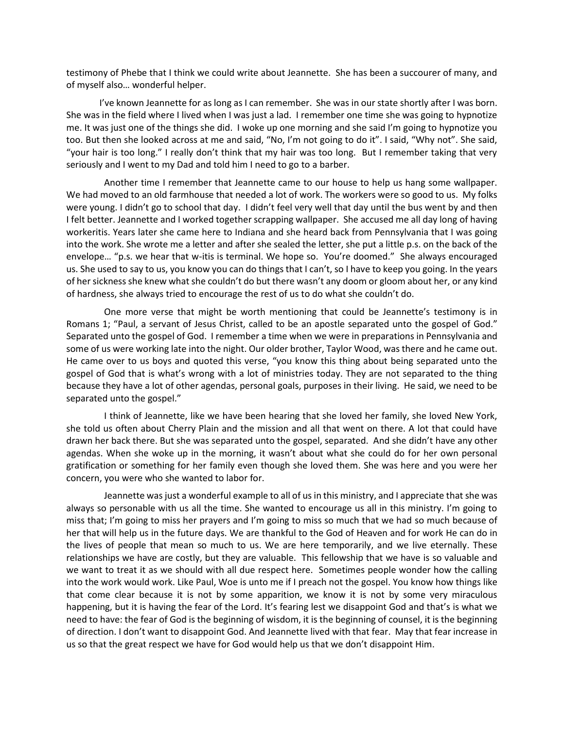testimony of Phebe that I think we could write about Jeannette. She has been a succourer of many, and of myself also… wonderful helper.

I've known Jeannette for as long as I can remember. She was in our state shortly after I was born. She was in the field where I lived when I was just a lad. I remember one time she was going to hypnotize me. It was just one of the things she did. I woke up one morning and she said I'm going to hypnotize you too. But then she looked across at me and said, "No, I'm not going to do it". I said, "Why not". She said, "your hair is too long." I really don't think that my hair was too long. But I remember taking that very seriously and I went to my Dad and told him I need to go to a barber.

 Another time I remember that Jeannette came to our house to help us hang some wallpaper. We had moved to an old farmhouse that needed a lot of work. The workers were so good to us. My folks were young. I didn't go to school that day. I didn't feel very well that day until the bus went by and then I felt better. Jeannette and I worked together scrapping wallpaper. She accused me all day long of having workeritis. Years later she came here to Indiana and she heard back from Pennsylvania that I was going into the work. She wrote me a letter and after she sealed the letter, she put a little p.s. on the back of the envelope… "p.s. we hear that w-itis is terminal. We hope so. You're doomed." She always encouraged us. She used to say to us, you know you can do things that I can't, so I have to keep you going. In the years of her sickness she knew what she couldn't do but there wasn't any doom or gloom about her, or any kind of hardness, she always tried to encourage the rest of us to do what she couldn't do.

 One more verse that might be worth mentioning that could be Jeannette's testimony is in Romans 1; "Paul, a servant of Jesus Christ, called to be an apostle separated unto the gospel of God." Separated unto the gospel of God. I remember a time when we were in preparations in Pennsylvania and some of us were working late into the night. Our older brother, Taylor Wood, was there and he came out. He came over to us boys and quoted this verse, "you know this thing about being separated unto the gospel of God that is what's wrong with a lot of ministries today. They are not separated to the thing because they have a lot of other agendas, personal goals, purposes in their living. He said, we need to be separated unto the gospel."

 I think of Jeannette, like we have been hearing that she loved her family, she loved New York, she told us often about Cherry Plain and the mission and all that went on there. A lot that could have drawn her back there. But she was separated unto the gospel, separated. And she didn't have any other agendas. When she woke up in the morning, it wasn't about what she could do for her own personal gratification or something for her family even though she loved them. She was here and you were her concern, you were who she wanted to labor for.

 Jeannette was just a wonderful example to all of us in this ministry, and I appreciate that she was always so personable with us all the time. She wanted to encourage us all in this ministry. I'm going to miss that; I'm going to miss her prayers and I'm going to miss so much that we had so much because of her that will help us in the future days. We are thankful to the God of Heaven and for work He can do in the lives of people that mean so much to us. We are here temporarily, and we live eternally. These relationships we have are costly, but they are valuable. This fellowship that we have is so valuable and we want to treat it as we should with all due respect here. Sometimes people wonder how the calling into the work would work. Like Paul, Woe is unto me if I preach not the gospel. You know how things like that come clear because it is not by some apparition, we know it is not by some very miraculous happening, but it is having the fear of the Lord. It's fearing lest we disappoint God and that's is what we need to have: the fear of God is the beginning of wisdom, it is the beginning of counsel, it is the beginning of direction. I don't want to disappoint God. And Jeannette lived with that fear. May that fear increase in us so that the great respect we have for God would help us that we don't disappoint Him.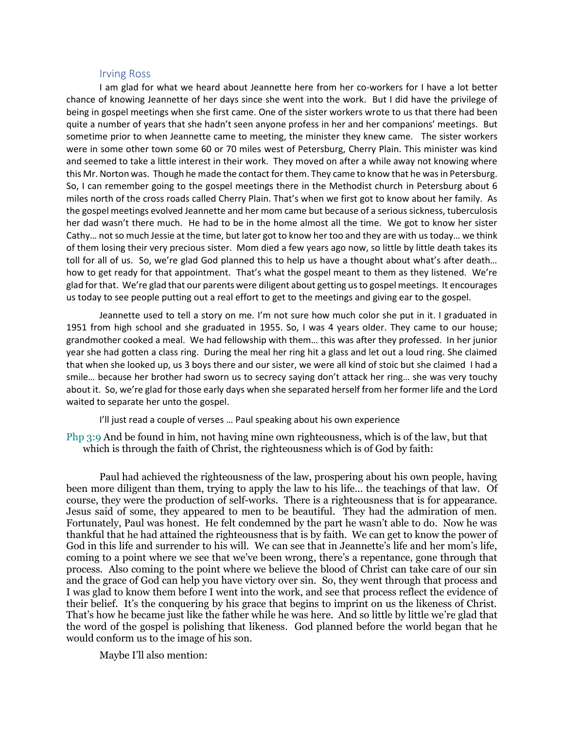#### Irving Ross

I am glad for what we heard about Jeannette here from her co-workers for I have a lot better chance of knowing Jeannette of her days since she went into the work. But I did have the privilege of being in gospel meetings when she first came. One of the sister workers wrote to us that there had been quite a number of years that she hadn't seen anyone profess in her and her companions' meetings. But sometime prior to when Jeannette came to meeting, the minister they knew came. The sister workers were in some other town some 60 or 70 miles west of Petersburg, Cherry Plain. This minister was kind and seemed to take a little interest in their work. They moved on after a while away not knowing where this Mr. Norton was. Though he made the contact for them. They came to know that he was in Petersburg. So, I can remember going to the gospel meetings there in the Methodist church in Petersburg about 6 miles north of the cross roads called Cherry Plain. That's when we first got to know about her family. As the gospel meetings evolved Jeannette and her mom came but because of a serious sickness, tuberculosis her dad wasn't there much. He had to be in the home almost all the time. We got to know her sister Cathy… not so much Jessie at the time, but later got to know her too and they are with us today… we think of them losing their very precious sister. Mom died a few years ago now, so little by little death takes its toll for all of us. So, we're glad God planned this to help us have a thought about what's after death… how to get ready for that appointment. That's what the gospel meant to them as they listened. We're glad for that. We're glad that our parents were diligent about getting us to gospel meetings. It encourages us today to see people putting out a real effort to get to the meetings and giving ear to the gospel.

Jeannette used to tell a story on me. I'm not sure how much color she put in it. I graduated in 1951 from high school and she graduated in 1955. So, I was 4 years older. They came to our house; grandmother cooked a meal. We had fellowship with them… this was after they professed. In her junior year she had gotten a class ring. During the meal her ring hit a glass and let out a loud ring. She claimed that when she looked up, us 3 boys there and our sister, we were all kind of stoic but she claimed I had a smile… because her brother had sworn us to secrecy saying don't attack her ring… she was very touchy about it. So, we're glad for those early days when she separated herself from her former life and the Lord waited to separate her unto the gospel.

I'll just read a couple of verses … Paul speaking about his own experience

Php 3:9 And be found in him, not having mine own righteousness, which is of the law, but that which is through the faith of Christ, the righteousness which is of God by faith:

Paul had achieved the righteousness of the law, prospering about his own people, having been more diligent than them, trying to apply the law to his life… the teachings of that law. Of course, they were the production of self-works. There is a righteousness that is for appearance. Jesus said of some, they appeared to men to be beautiful. They had the admiration of men. Fortunately, Paul was honest. He felt condemned by the part he wasn't able to do. Now he was thankful that he had attained the righteousness that is by faith. We can get to know the power of God in this life and surrender to his will. We can see that in Jeannette's life and her mom's life, coming to a point where we see that we've been wrong, there's a repentance, gone through that process. Also coming to the point where we believe the blood of Christ can take care of our sin and the grace of God can help you have victory over sin. So, they went through that process and I was glad to know them before I went into the work, and see that process reflect the evidence of their belief. It's the conquering by his grace that begins to imprint on us the likeness of Christ. That's how he became just like the father while he was here. And so little by little we're glad that the word of the gospel is polishing that likeness. God planned before the world began that he would conform us to the image of his son.

Maybe I'll also mention: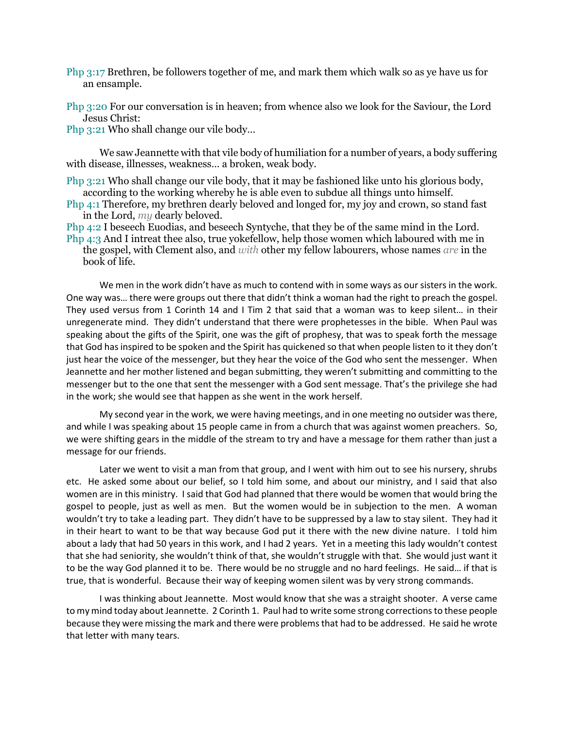- Php 3:17 Brethren, be followers together of me, and mark them which walk so as ye have us for an ensample.
- Php 3:20 For our conversation is in heaven; from whence also we look for the Saviour, the Lord Jesus Christ:

Php 3:21 Who shall change our vile body…

We saw Jeannette with that vile body of humiliation for a number of years, a body suffering with disease, illnesses, weakness… a broken, weak body.

- Php 3:21 Who shall change our vile body, that it may be fashioned like unto his glorious body, according to the working whereby he is able even to subdue all things unto himself.
- Php 4:1 Therefore, my brethren dearly beloved and longed for, my joy and crown, so stand fast in the Lord, *my* dearly beloved.
- Php 4:2 I beseech Euodias, and beseech Syntyche, that they be of the same mind in the Lord.
- Php 4:3 And I intreat thee also, true yokefellow, help those women which laboured with me in the gospel, with Clement also, and *with* other my fellow labourers, whose names *are* in the book of life.

We men in the work didn't have as much to contend with in some ways as our sisters in the work. One way was… there were groups out there that didn't think a woman had the right to preach the gospel. They used versus from 1 Corinth 14 and I Tim 2 that said that a woman was to keep silent… in their unregenerate mind. They didn't understand that there were prophetesses in the bible. When Paul was speaking about the gifts of the Spirit, one was the gift of prophesy, that was to speak forth the message that God has inspired to be spoken and the Spirit has quickened so that when people listen to it they don't just hear the voice of the messenger, but they hear the voice of the God who sent the messenger. When Jeannette and her mother listened and began submitting, they weren't submitting and committing to the messenger but to the one that sent the messenger with a God sent message. That's the privilege she had in the work; she would see that happen as she went in the work herself.

My second year in the work, we were having meetings, and in one meeting no outsider was there, and while I was speaking about 15 people came in from a church that was against women preachers. So, we were shifting gears in the middle of the stream to try and have a message for them rather than just a message for our friends.

Later we went to visit a man from that group, and I went with him out to see his nursery, shrubs etc. He asked some about our belief, so I told him some, and about our ministry, and I said that also women are in this ministry. I said that God had planned that there would be women that would bring the gospel to people, just as well as men. But the women would be in subjection to the men. A woman wouldn't try to take a leading part. They didn't have to be suppressed by a law to stay silent. They had it in their heart to want to be that way because God put it there with the new divine nature. I told him about a lady that had 50 years in this work, and I had 2 years. Yet in a meeting this lady wouldn't contest that she had seniority, she wouldn't think of that, she wouldn't struggle with that. She would just want it to be the way God planned it to be. There would be no struggle and no hard feelings. He said… if that is true, that is wonderful. Because their way of keeping women silent was by very strong commands.

I was thinking about Jeannette. Most would know that she was a straight shooter. A verse came to my mind today about Jeannette. 2 Corinth 1. Paul had to write some strong corrections to these people because they were missing the mark and there were problems that had to be addressed. He said he wrote that letter with many tears.